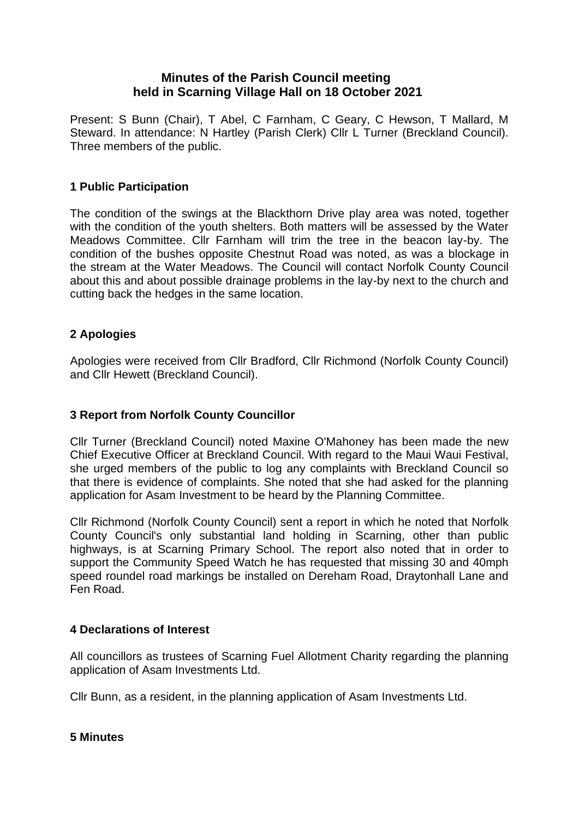# **Minutes of the Parish Council meeting held in Scarning Village Hall on 18 October 2021**

Present: S Bunn (Chair), T Abel, C Farnham, C Geary, C Hewson, T Mallard, M Steward. In attendance: N Hartley (Parish Clerk) Cllr L Turner (Breckland Council). Three members of the public.

# **1 Public Participation**

The condition of the swings at the Blackthorn Drive play area was noted, together with the condition of the youth shelters. Both matters will be assessed by the Water Meadows Committee. Cllr Farnham will trim the tree in the beacon lay-by. The condition of the bushes opposite Chestnut Road was noted, as was a blockage in the stream at the Water Meadows. The Council will contact Norfolk County Council about this and about possible drainage problems in the lay-by next to the church and cutting back the hedges in the same location.

# **2 Apologies**

Apologies were received from Cllr Bradford, Cllr Richmond (Norfolk County Council) and Cllr Hewett (Breckland Council).

## **3 Report from Norfolk County Councillor**

Cllr Turner (Breckland Council) noted Maxine O'Mahoney has been made the new Chief Executive Officer at Breckland Council. With regard to the Maui Waui Festival, she urged members of the public to log any complaints with Breckland Council so that there is evidence of complaints. She noted that she had asked for the planning application for Asam Investment to be heard by the Planning Committee.

Cllr Richmond (Norfolk County Council) sent a report in which he noted that Norfolk County Council's only substantial land holding in Scarning, other than public highways, is at Scarning Primary School. The report also noted that in order to support the Community Speed Watch he has requested that missing 30 and 40mph speed roundel road markings be installed on Dereham Road, Draytonhall Lane and Fen Road.

## **4 Declarations of Interest**

All councillors as trustees of Scarning Fuel Allotment Charity regarding the planning application of Asam Investments Ltd.

Cllr Bunn, as a resident, in the planning application of Asam Investments Ltd.

## **5 Minutes**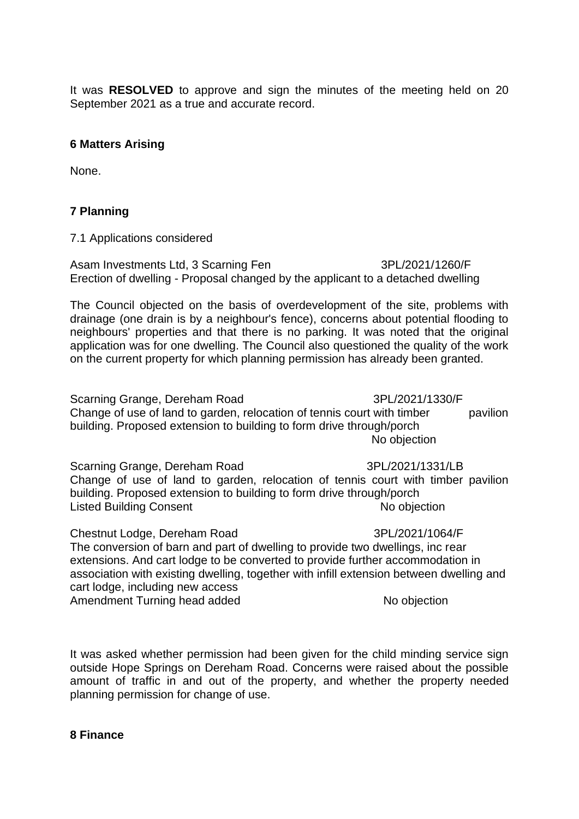It was **RESOLVED** to approve and sign the minutes of the meeting held on 20 September 2021 as a true and accurate record.

#### **6 Matters Arising**

None.

## **7 Planning**

7.1 Applications considered

Asam Investments Ltd, 3 Scarning Fen 3PL/2021/1260/F Erection of dwelling - Proposal changed by the applicant to a detached dwelling

The Council objected on the basis of overdevelopment of the site, problems with drainage (one drain is by a neighbour's fence), concerns about potential flooding to neighbours' properties and that there is no parking. It was noted that the original application was for one dwelling. The Council also questioned the quality of the work on the current property for which planning permission has already been granted.

Scarning Grange, Dereham Road 3PL/2021/1330/F Change of use of land to garden, relocation of tennis court with timber pavilion building. Proposed extension to building to form drive through/porch No objection

Scarning Grange, Dereham Road 3PL/2021/1331/LB Change of use of land to garden, relocation of tennis court with timber pavilion building. Proposed extension to building to form drive through/porch Listed Building Consent No objection

Chestnut Lodge, Dereham Road 3PL/2021/1064/F The conversion of barn and part of dwelling to provide two dwellings, inc rear extensions. And cart lodge to be converted to provide further accommodation in association with existing dwelling, together with infill extension between dwelling and cart lodge, including new access Amendment Turning head added No objection

It was asked whether permission had been given for the child minding service sign outside Hope Springs on Dereham Road. Concerns were raised about the possible amount of traffic in and out of the property, and whether the property needed planning permission for change of use.

#### **8 Finance**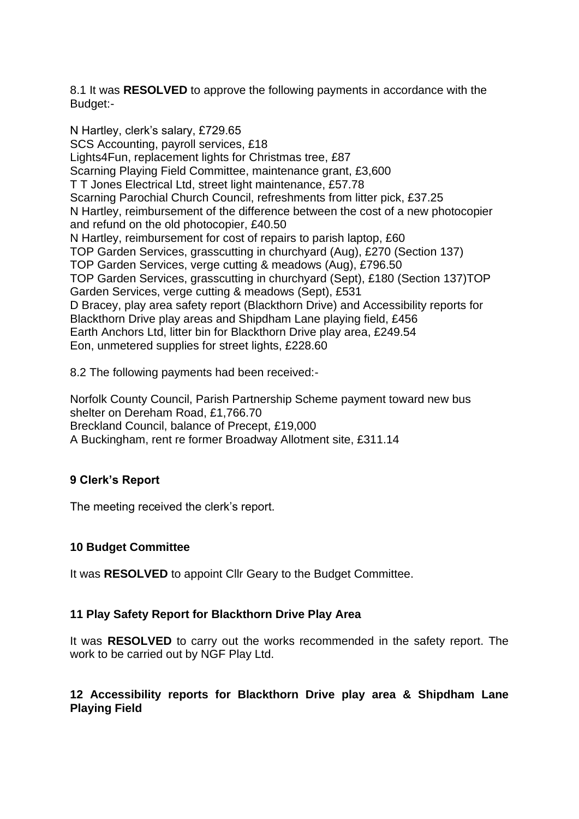8.1 It was **RESOLVED** to approve the following payments in accordance with the Budget:-

N Hartley, clerk's salary, £729.65 SCS Accounting, payroll services, £18 Lights4Fun, replacement lights for Christmas tree, £87 Scarning Playing Field Committee, maintenance grant, £3,600 T T Jones Electrical Ltd, street light maintenance, £57.78 Scarning Parochial Church Council, refreshments from litter pick, £37.25 N Hartley, reimbursement of the difference between the cost of a new photocopier and refund on the old photocopier, £40.50 N Hartley, reimbursement for cost of repairs to parish laptop, £60 TOP Garden Services, grasscutting in churchyard (Aug), £270 (Section 137) TOP Garden Services, verge cutting & meadows (Aug), £796.50 TOP Garden Services, grasscutting in churchyard (Sept), £180 (Section 137)TOP Garden Services, verge cutting & meadows (Sept), £531 D Bracey, play area safety report (Blackthorn Drive) and Accessibility reports for Blackthorn Drive play areas and Shipdham Lane playing field, £456 Earth Anchors Ltd, litter bin for Blackthorn Drive play area, £249.54 Eon, unmetered supplies for street lights, £228.60

8.2 The following payments had been received:-

Norfolk County Council, Parish Partnership Scheme payment toward new bus shelter on Dereham Road, £1,766.70 Breckland Council, balance of Precept, £19,000 A Buckingham, rent re former Broadway Allotment site, £311.14

# **9 Clerk's Report**

The meeting received the clerk's report.

## **10 Budget Committee**

It was **RESOLVED** to appoint Cllr Geary to the Budget Committee.

## **11 Play Safety Report for Blackthorn Drive Play Area**

It was **RESOLVED** to carry out the works recommended in the safety report. The work to be carried out by NGF Play Ltd.

## **12 Accessibility reports for Blackthorn Drive play area & Shipdham Lane Playing Field**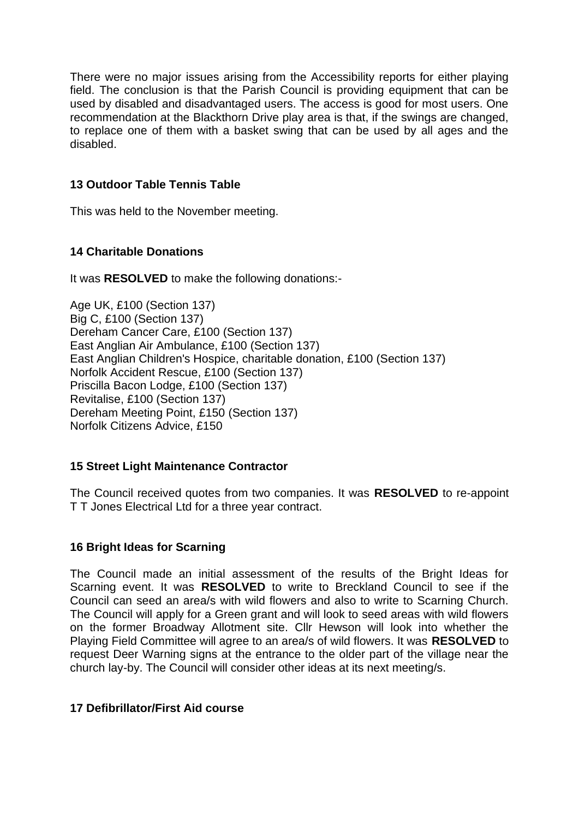There were no major issues arising from the Accessibility reports for either playing field. The conclusion is that the Parish Council is providing equipment that can be used by disabled and disadvantaged users. The access is good for most users. One recommendation at the Blackthorn Drive play area is that, if the swings are changed, to replace one of them with a basket swing that can be used by all ages and the disabled.

# **13 Outdoor Table Tennis Table**

This was held to the November meeting.

# **14 Charitable Donations**

It was **RESOLVED** to make the following donations:-

Age UK, £100 (Section 137) Big C, £100 (Section 137) Dereham Cancer Care, £100 (Section 137) East Anglian Air Ambulance, £100 (Section 137) East Anglian Children's Hospice, charitable donation, £100 (Section 137) Norfolk Accident Rescue, £100 (Section 137) Priscilla Bacon Lodge, £100 (Section 137) Revitalise, £100 (Section 137) Dereham Meeting Point, £150 (Section 137) Norfolk Citizens Advice, £150

## **15 Street Light Maintenance Contractor**

The Council received quotes from two companies. It was **RESOLVED** to re-appoint T T Jones Electrical Ltd for a three year contract.

## **16 Bright Ideas for Scarning**

The Council made an initial assessment of the results of the Bright Ideas for Scarning event. It was **RESOLVED** to write to Breckland Council to see if the Council can seed an area/s with wild flowers and also to write to Scarning Church. The Council will apply for a Green grant and will look to seed areas with wild flowers on the former Broadway Allotment site. Cllr Hewson will look into whether the Playing Field Committee will agree to an area/s of wild flowers. It was **RESOLVED** to request Deer Warning signs at the entrance to the older part of the village near the church lay-by. The Council will consider other ideas at its next meeting/s.

## **17 Defibrillator/First Aid course**